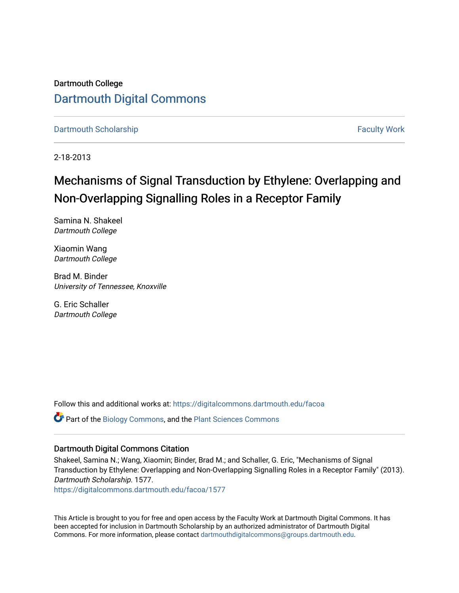Dartmouth College [Dartmouth Digital Commons](https://digitalcommons.dartmouth.edu/) 

[Dartmouth Scholarship](https://digitalcommons.dartmouth.edu/facoa) [Faculty Work](https://digitalcommons.dartmouth.edu/faculty) and The Basic Scholarship Faculty Work Faculty Work

2-18-2013

## Mechanisms of Signal Transduction by Ethylene: Overlapping and Non-Overlapping Signalling Roles in a Receptor Family

Samina N. Shakeel Dartmouth College

Xiaomin Wang Dartmouth College

Brad M. Binder University of Tennessee, Knoxville

G. Eric Schaller Dartmouth College

Follow this and additional works at: [https://digitalcommons.dartmouth.edu/facoa](https://digitalcommons.dartmouth.edu/facoa?utm_source=digitalcommons.dartmouth.edu%2Ffacoa%2F1577&utm_medium=PDF&utm_campaign=PDFCoverPages)

Part of the [Biology Commons,](http://network.bepress.com/hgg/discipline/41?utm_source=digitalcommons.dartmouth.edu%2Ffacoa%2F1577&utm_medium=PDF&utm_campaign=PDFCoverPages) and the [Plant Sciences Commons](http://network.bepress.com/hgg/discipline/102?utm_source=digitalcommons.dartmouth.edu%2Ffacoa%2F1577&utm_medium=PDF&utm_campaign=PDFCoverPages) 

#### Dartmouth Digital Commons Citation

Shakeel, Samina N.; Wang, Xiaomin; Binder, Brad M.; and Schaller, G. Eric, "Mechanisms of Signal Transduction by Ethylene: Overlapping and Non-Overlapping Signalling Roles in a Receptor Family" (2013). Dartmouth Scholarship. 1577.

[https://digitalcommons.dartmouth.edu/facoa/1577](https://digitalcommons.dartmouth.edu/facoa/1577?utm_source=digitalcommons.dartmouth.edu%2Ffacoa%2F1577&utm_medium=PDF&utm_campaign=PDFCoverPages) 

This Article is brought to you for free and open access by the Faculty Work at Dartmouth Digital Commons. It has been accepted for inclusion in Dartmouth Scholarship by an authorized administrator of Dartmouth Digital Commons. For more information, please contact [dartmouthdigitalcommons@groups.dartmouth.edu](mailto:dartmouthdigitalcommons@groups.dartmouth.edu).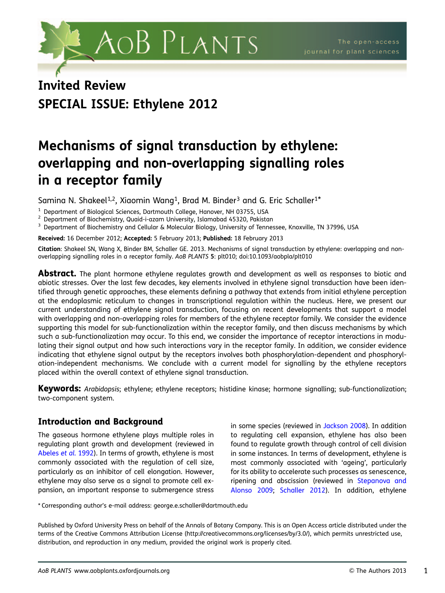

# Invited Review SPECIAL ISSUE: Ethylene 2012

## Mechanisms of signal transduction by ethylene: overlapping and non-overlapping signalling roles in a receptor family

Samina N. Shakeel<sup>1,2</sup>, Xiaomin Wang<sup>1</sup>, Brad M. Binder<sup>3</sup> and G. Eric Schaller<sup>1\*</sup>

<sup>1</sup> Department of Biological Sciences, Dartmouth College, Hanover, NH 03755, USA<br><sup>2</sup> Department of Biochemistry, Quaid-i-azam University, Islamabad 45320, Pakistan<br><sup>3</sup> Department of Biochemistry and Cellular & Molecular B

Received: 16 December 2012; Accepted: 5 February 2013; Published: 18 February 2013

Citation: Shakeel SN, Wang X, Binder BM, Schaller GE. 2013. Mechanisms of signal transduction by ethylene: overlapping and nonoverlapping signalling roles in a receptor family. AoB PLANTS 5: plt010; doi:10.1093/aobpla/plt010

**Abstract.** The plant hormone ethylene regulates growth and development as well as responses to biotic and abiotic stresses. Over the last few decades, key elements involved in ethylene signal transduction have been identified through genetic approaches, these elements defining a pathway that extends from initial ethylene perception at the endoplasmic reticulum to changes in transcriptional regulation within the nucleus. Here, we present our current understanding of ethylene signal transduction, focusing on recent developments that support a model with overlapping and non-overlapping roles for members of the ethylene receptor family. We consider the evidence supporting this model for sub-functionalization within the receptor family, and then discuss mechanisms by which such a sub-functionalization may occur. To this end, we consider the importance of receptor interactions in modulating their signal output and how such interactions vary in the receptor family. In addition, we consider evidence indicating that ethylene signal output by the receptors involves both phosphorylation-dependent and phosphorylation-independent mechanisms. We conclude with a current model for signalling by the ethylene receptors placed within the overall context of ethylene signal transduction.

Keywords: Arabidopsis; ethylene; ethylene receptors; histidine kinase; hormone signalling; sub-functionalization; two-component system.

## Introduction and Background

The gaseous hormone ethylene plays multiple roles in regulating plant growth and development (reviewed in [Abeles](#page-12-0) et al. 1992). In terms of growth, ethylene is most commonly associated with the regulation of cell size, particularly as an inhibitor of cell elongation. However, ethylene may also serve as a signal to promote cell expansion, an important response to submergence stress in some species (reviewed in [Jackson 2008\)](#page-14-0). In addition to regulating cell expansion, ethylene has also been found to regulate growth through control of cell division in some instances. In terms of development, ethylene is most commonly associated with 'ageing', particularly for its ability to accelerate such processes as senescence, ripening and abscission (reviewed in [Stepanova and](#page-15-0) [Alonso 2009](#page-15-0); [Schaller 2012\)](#page-15-0). In addition, ethylene

\* Corresponding author's e-mail address: george.e.schaller@dartmouth.edu

Published by Oxford University Press on behalf of the Annals of Botany Company. This is an Open Access article distributed under the terms of the Creative Commons Attribution License (http://creativecommons.org/licenses/by/3.0/), which permits unrestricted use, distribution, and reproduction in any medium, provided the original work is properly cited.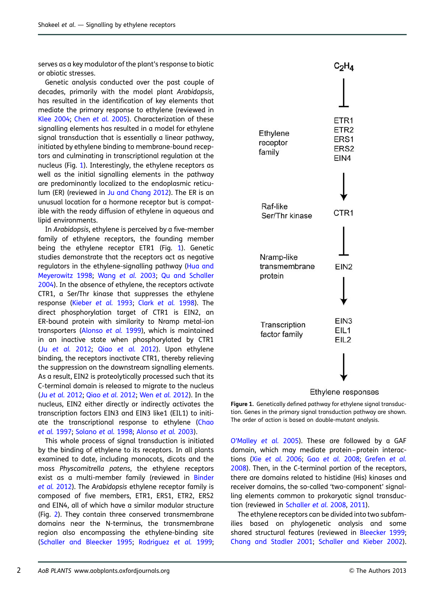<span id="page-2-0"></span>serves as a key modulator of the plant's response to biotic or abiotic stresses.

Genetic analysis conducted over the past couple of decades, primarily with the model plant Arabidopsis, has resulted in the identification of key elements that mediate the primary response to ethylene (reviewed in [Klee 2004](#page-14-0); Chen [et al.](#page-13-0) 2005). Characterization of these signalling elements has resulted in a model for ethylene signal transduction that is essentially a linear pathway, initiated by ethylene binding to membrane-bound receptors and culminating in transcriptional regulation at the nucleus (Fig. 1). Interestingly, the ethylene receptors as well as the initial signalling elements in the pathway are predominantly localized to the endoplasmic reticulum (ER) (reviewed in [Ju and Chang 2012](#page-14-0)). The ER is an unusual location for a hormone receptor but is compatible with the ready diffusion of ethylene in aqueous and lipid environments.

In Arabidopsis, ethylene is perceived by a five-member family of ethylene receptors, the founding member being the ethylene receptor ETR1 (Fig. 1). Genetic studies demonstrate that the receptors act as negative regulators in the ethylene-signalling pathway [\(Hua and](#page-14-0) [Meyerowitz 1998;](#page-14-0) [Wang](#page-15-0) et al. 2003; [Qu and Schaller](#page-15-0) [2004\)](#page-15-0). In the absence of ethylene, the receptors activate CTR1, a Ser/Thr kinase that suppresses the ethylene response ([Kieber](#page-14-0) et al. 1993; Clark [et al.](#page-13-0) 1998). The direct phosphorylation target of CTR1 is EIN2, an ER-bound protein with similarity to Nramp metal-ion transporters [\(Alonso](#page-12-0) et al. 1999), which is maintained in an inactive state when phosphorylated by CTR1 (Ju [et al.](#page-14-0) 2012; Qiao [et al.](#page-15-0) 2012). Upon ethylene binding, the receptors inactivate CTR1, thereby relieving the suppression on the downstream signalling elements. As a result, EIN2 is proteolytically processed such that its C-terminal domain is released to migrate to the nucleus (Ju et al. [2012;](#page-14-0) Qiao et al. [2012;](#page-15-0) Wen et al. [2012\)](#page-15-0). In the nucleus, EIN2 either directly or indirectly activates the transcription factors EIN3 and EIN3 like1 (EIL1) to initiate the transcriptional response to ethylene [\(Chao](#page-13-0) et al. [1997;](#page-13-0) [Solano](#page-15-0) et al. 1998; [Alonso](#page-13-0) et al. 2003).

This whole process of signal transduction is initiated by the binding of ethylene to its receptors. In all plants examined to date, including monocots, dicots and the moss Physcomitrella patens, the ethylene receptors exist as a multi-member family (reviewed in [Binder](#page-13-0) [et al.](#page-13-0) 2012). The Arabidopsis ethylene receptor family is composed of five members, ETR1, ERS1, ETR2, ERS2 and EIN4, all of which have a similar modular structure (Fig. [2\)](#page-3-0). They contain three conserved transmembrane domains near the N-terminus, the transmembrane region also encompassing the ethylene-binding site [\(Schaller and Bleecker 1995](#page-15-0); [Rodriguez](#page-15-0) et al. 1999;





Figure 1. Genetically defined pathway for ethylene signal transduction. Genes in the primary signal transduction pathway are shown. The order of action is based on double-mutant analysis.

[O'Malley](#page-15-0) et al. 2005). These are followed by a GAF domain, which may mediate protein-protein interactions (Xie [et al.](#page-15-0) 2006; Gao [et al.](#page-13-0) 2008; [Grefen](#page-13-0) et al. [2008\)](#page-13-0). Then, in the C-terminal portion of the receptors, there are domains related to histidine (His) kinases and receiver domains, the so-called 'two-component' signalling elements common to prokaryotic signal transduction (reviewed in [Schaller](#page-15-0) et al. 2008, [2011](#page-15-0)).

The ethylene receptors can be divided into two subfamilies based on phylogenetic analysis and some shared structural features (reviewed in [Bleecker 1999](#page-13-0); [Chang and Stadler 2001;](#page-13-0) [Schaller and Kieber 2002](#page-15-0)).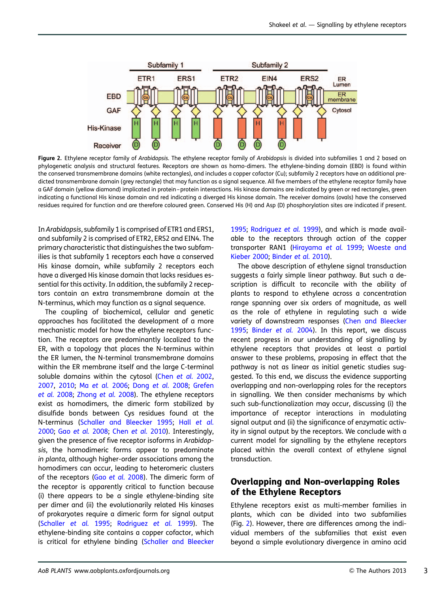<span id="page-3-0"></span>

Figure 2. Ethylene receptor family of Arabidopsis. The ethylene receptor family of Arabidopsis is divided into subfamilies 1 and 2 based on phylogenetic analysis and structural features. Receptors are shown as homo-dimers. The ethylene-binding domain (EBD) is found within the conserved transmembrane domains (white rectangles), and includes a copper cofactor (Cu); subfamily 2 receptors have an additional predicted transmembrane domain (grey rectangle) that may function as a signal sequence. All five members of the ethylene receptor family have a GAF domain (yellow diamond) implicated in protein –protein interactions. His kinase domains are indicated by green or red rectangles, green indicating a functional His kinase domain and red indicating a diverged His kinase domain. The receiver domains (ovals) have the conserved residues required for function and are therefore coloured green. Conserved His (H) and Asp (D) phosphorylation sites are indicated if present.

In Arabidopsis, subfamily 1 is comprised of ETR1 and ERS1, and subfamily 2 is comprised of ETR2, ERS2 and EIN4. The primary characteristic that distinguishes the two subfamilies is that subfamily 1 receptors each have a conserved His kinase domain, while subfamily 2 receptors each have a diverged His kinase domain that lacks residues essential for this activity. In addition, the subfamily 2 receptors contain an extra transmembrane domain at the N-terminus, which may function as a signal sequence.

The coupling of biochemical, cellular and genetic approaches has facilitated the development of a more mechanistic model for how the ethylene receptors function. The receptors are predominantly localized to the ER, with a topology that places the N-terminus within the ER lumen, the N-terminal transmembrane domains within the ER membrane itself and the large C-terminal soluble domains within the cytosol (Chen [et al.](#page-13-0) 2002, [2007,](#page-13-0) [2010;](#page-13-0) Ma [et al.](#page-14-0) 2006; Dong [et al.](#page-13-0) 2008; [Grefen](#page-13-0) [et al.](#page-13-0) 2008; [Zhong](#page-16-0) et al. 2008). The ethylene receptors exist as homodimers, the dimeric form stabilized by disulfide bonds between Cys residues found at the N-terminus [\(Schaller and Bleecker 1995](#page-15-0); Hall [et al.](#page-14-0) [2000;](#page-14-0) Gao [et al.](#page-13-0) 2008; Chen [et al.](#page-13-0) 2010). Interestingly, given the presence of five receptor isoforms in Arabidopsis, the homodimeric forms appear to predominate in planta, although higher-order associations among the homodimers can occur, leading to heteromeric clusters of the receptors (Gao [et al.](#page-13-0) 2008). The dimeric form of the receptor is apparently critical to function because (i) there appears to be a single ethylene-binding site per dimer and (ii) the evolutionarily related His kinases of prokaryotes require a dimeric form for signal output [\(Schaller](#page-15-0) et al. 1995; [Rodriguez](#page-15-0) et al. 1999). The ethylene-binding site contains a copper cofactor, which is critical for ethylene binding [\(Schaller and Bleecker](#page-15-0)

[1995;](#page-15-0) [Rodriguez](#page-15-0) et al. 1999), and which is made available to the receptors through action of the copper transporter RAN1 ([Hirayama](#page-14-0) et al. 1999; [Woeste and](#page-15-0) [Kieber 2000](#page-15-0); [Binder](#page-13-0) et al. 2010).

The above description of ethylene signal transduction suggests a fairly simple linear pathway. But such a description is difficult to reconcile with the ability of plants to respond to ethylene across a concentration range spanning over six orders of magnitude, as well as the role of ethylene in regulating such a wide variety of downstream responses [\(Chen and Bleecker](#page-13-0) [1995;](#page-13-0) [Binder](#page-13-0) et al. 2004). In this report, we discuss recent progress in our understanding of signalling by ethylene receptors that provides at least a partial answer to these problems, proposing in effect that the pathway is not as linear as initial genetic studies suggested. To this end, we discuss the evidence supporting overlapping and non-overlapping roles for the receptors in signalling. We then consider mechanisms by which such sub-functionalization may occur, discussing (i) the importance of receptor interactions in modulating signal output and (ii) the significance of enzymatic activity in signal output by the receptors. We conclude with a current model for signalling by the ethylene receptors placed within the overall context of ethylene signal transduction.

#### Overlapping and Non-overlapping Roles of the Ethylene Receptors

Ethylene receptors exist as multi-member families in plants, which can be divided into two subfamilies (Fig. 2). However, there are differences among the individual members of the subfamilies that exist even beyond a simple evolutionary divergence in amino acid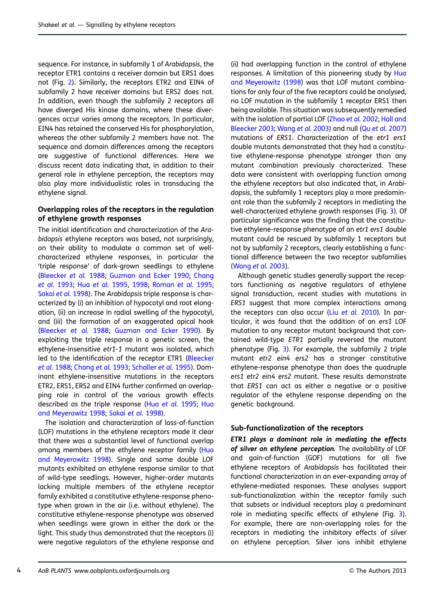sequence. For instance, in subfamily 1 of Arabidopsis, the receptor ETR1 contains a receiver domain but ERS1 does not (Fig. [2](#page-3-0)). Similarly, the receptors ETR2 and EIN4 of subfamily 2 have receiver domains but ERS2 does not. In addition, even though the subfamily 2 receptors all have diverged His kinase domains, where these divergences occur varies among the receptors. In particular, EIN4 has retained the conserved His for phosphorylation, whereas the other subfamily 2 members have not. The sequence and domain differences among the receptors are suggestive of functional differences. Here we discuss recent data indicating that, in addition to their general role in ethylene perception, the receptors may also play more individualistic roles in transducing the ethylene signal.

#### Overlapping roles of the receptors in the regulation of ethylene growth responses

The initial identification and characterization of the Arabidopsis ethylene receptors was based, not surprisingly, on their ability to modulate a common set of wellcharacterized ethylene responses, in particular the 'triple response' of dark-grown seedlings to ethylene [\(Bleecker](#page-13-0) et al. 1988; [Guzman and Ecker 1990](#page-14-0); [Chang](#page-13-0) [et al.](#page-13-0) 1993; Hua [et al.](#page-14-0) 1995, [1998;](#page-14-0) [Roman](#page-15-0) et al. 1995; [Sakai](#page-15-0) et al. 1998). The Arabidopsis triple response is characterized by (i) an inhibition of hypocotyl and root elongation, (ii) an increase in radial swelling of the hypocotyl, and (iii) the formation of an exaggerated apical hook [\(Bleecker](#page-13-0) et al. 1988; [Guzman and Ecker 1990](#page-14-0)). By exploiting the triple response in a genetic screen, the ethylene-insensitive etr1-1 mutant was isolated, which led to the identification of the receptor ETR1 [\(Bleecker](#page-13-0) et al. [1988;](#page-13-0) [Chang](#page-13-0) et al. 1993; [Schaller](#page-15-0) et al. 1995). Dominant ethylene-insensitive mutations in the receptors ETR2, ERS1, ERS2 and EIN4 further confirmed an overlapping role in control of the various growth effects described as the triple response (Hua [et al.](#page-14-0) 1995; [Hua](#page-14-0) [and Meyerowitz 1998;](#page-14-0) [Sakai](#page-15-0) et al. 1998).

The isolation and characterization of loss-of-function (LOF) mutations in the ethylene receptors made it clear that there was a substantial level of functional overlap among members of the ethylene receptor family ([Hua](#page-14-0) [and Meyerowitz 1998\)](#page-14-0). Single and some double LOF mutants exhibited an ethylene response similar to that of wild-type seedlings. However, higher-order mutants lacking multiple members of the ethylene receptor family exhibited a constitutive ethylene-response phenotype when grown in the air (i.e. without ethylene). The constitutive ethylene-response phenotype was observed when seedlings were grown in either the dark or the light. This study thus demonstrated that the receptors (i) were negative regulators of the ethylene response and

(ii) had overlapping function in the control of ethylene responses. A limitation of this pioneering study by [Hua](#page-14-0) [and Meyerowitz \(1998](#page-14-0)) was that LOF mutant combinations for only four of the five receptors could be analysed, no LOF mutation in the subfamily 1 receptor ERS1 then being available. This situation was subsequently remedied with the isolation of partial LOF ([Zhao](#page-16-0) et al. 2002; [Hall and](#page-14-0) [Bleecker 2003;](#page-14-0) [Wang](#page-15-0) et al. 2003) and null (Qu et al. [2007](#page-15-0)) mutations of ERS1. Characterization of the etr1 ers1 double mutants demonstrated that they had a constitutive ethylene-response phenotype stronger than any mutant combination previously characterized. These data were consistent with overlapping function among the ethylene receptors but also indicated that, in Arabidopsis, the subfamily 1 receptors play a more predominant role than the subfamily 2 receptors in mediating the well-characterized ethylene growth responses (Fig. [3](#page-5-0)). Of particular significance was the finding that the constitutive ethylene-response phenotype of an etr1 ers1 double mutant could be rescued by subfamily 1 receptors but not by subfamily 2 receptors, clearly establishing a functional difference between the two receptor subfamilies ([Wang](#page-15-0) et al. 2003).

Although genetic studies generally support the receptors functioning as negative regulators of ethylene signal transduction, recent studies with mutations in ERS1 suggest that more complex interactions among the receptors can also occur (Liu [et al.](#page-14-0) 2010). In particular, it was found that the addition of an ers1 LOF mutation to any receptor mutant background that contained wild-type ETR1 partially reversed the mutant phenotype (Fig. [3\)](#page-5-0). For example, the subfamily 2 triple mutant etr2 ein4 ers2 has a stronger constitutive ethylene-response phenotype than does the quadruple ers1 etr2 ein4 ers2 mutant. These results demonstrate that ERS1 can act as either a negative or a positive regulator of the ethylene response depending on the genetic background.

#### Sub-functionalization of the receptors

ETR1 plays a dominant role in mediating the effects of silver on ethylene perception. The availability of LOF and gain-of-function (GOF) mutations for all five ethylene receptors of Arabidopsis has facilitated their functional characterization in an ever-expanding array of ethylene-mediated responses. These analyses support sub-functionalization within the receptor family such that subsets or individual receptors play a predominant role in mediating specific effects of ethylene (Fig. [3](#page-5-0)). For example, there are non-overlapping roles for the receptors in mediating the inhibitory effects of silver on ethylene perception. Silver ions inhibit ethylene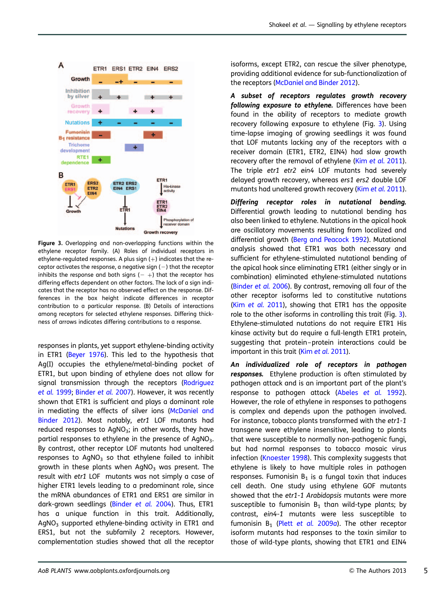<span id="page-5-0"></span>

Figure 3. Overlapping and non-overlapping functions within the ethylene receptor family. (A) Roles of individual receptors in ethylene-regulated responses. A plus sign  $(+)$  indicates that the receptor activates the response, a negative sign  $(-)$  that the receptor inhibits the response and both signs  $(- +)$  that the receptor has differing effects dependent on other factors. The lack of a sign indicates that the receptor has no observed effect on the response. Differences in the box height indicate differences in receptor contribution to a particular response. (B) Details of interactions among receptors for selected ethylene responses. Differing thickness of arrows indicates differing contributions to a response.

responses in plants, yet support ethylene-binding activity in ETR1 [\(Beyer 1976\)](#page-13-0). This led to the hypothesis that Ag(I) occupies the ethylene/metal-binding pocket of ETR1, but upon binding of ethylene does not allow for signal transmission through the receptors ([Rodriguez](#page-15-0) et al. [1999;](#page-15-0) [Binder](#page-13-0) et al. 2007). However, it was recently shown that ETR1 is sufficient and plays a dominant role in mediating the effects of silver ions ([McDaniel and](#page-14-0) [Binder 2012\)](#page-14-0). Most notably, etr1 LOF mutants had reduced responses to  $AqNO<sub>3</sub>$ ; in other words, they have partial responses to ethylene in the presence of  $AqNO<sub>3</sub>$ . By contrast, other receptor LOF mutants had unaltered responses to  $AgNO<sub>3</sub>$  so that ethylene failed to inhibit growth in these plants when  $AgNO<sub>3</sub>$  was present. The result with etr1 LOF mutants was not simply a case of higher ETR1 levels leading to a predominant role, since the mRNA abundances of ETR1 and ERS1 are similar in dark-grown seedlings ([Binder](#page-13-0) et al. 2004). Thus, ETR1 has a unique function in this trait. Additionally,  $AqNO<sub>3</sub>$  supported ethylene-binding activity in ETR1 and ERS1, but not the subfamily 2 receptors. However, complementation studies showed that all the receptor isoforms, except ETR2, can rescue the silver phenotype, providing additional evidence for sub-functionalization of the receptors ([McDaniel and Binder 2012](#page-14-0)).

A subset of receptors regulates growth recovery following exposure to ethylene. Differences have been found in the ability of receptors to mediate growth recovery following exposure to ethylene (Fig. 3). Using time-lapse imaging of growing seedlings it was found that LOF mutants lacking any of the receptors with a receiver domain (ETR1, ETR2, EIN4) had slow growth recovery after the removal of ethylene (Kim et al. [2011](#page-14-0)). The triple etr1 etr2 ein4 LOF mutants had severely delayed growth recovery, whereas ers1 ers2 double LOF mutants had unaltered growth recovery (Kim et al. [2011](#page-14-0)).

Differing receptor roles in nutational bending. Differential growth leading to nutational bending has also been linked to ethylene. Nutations in the apical hook are oscillatory movements resulting from localized and differential growth ([Berg and Peacock 1992](#page-13-0)). Mutational analysis showed that ETR1 was both necessary and sufficient for ethylene-stimulated nutational bending of the apical hook since eliminating ETR1 (either singly or in combination) eliminated ethylene-stimulated nutations ([Binder](#page-13-0) et al. 2006). By contrast, removing all four of the other receptor isoforms led to constitutive nutations (Kim [et al.](#page-14-0) 2011), showing that ETR1 has the opposite role to the other isoforms in controlling this trait (Fig. 3). Ethylene-stimulated nutations do not require ETR1 His kinase activity but do require a full-length ETR1 protein, suggesting that protein–protein interactions could be important in this trait (Kim et al. [2011\)](#page-14-0).

An individualized role of receptors in pathogen responses. Ethylene production is often stimulated by pathogen attack and is an important part of the plant's response to pathogen attack ([Abeles](#page-12-0) et al. 1992). However, the role of ethylene in responses to pathogens is complex and depends upon the pathogen involved. For instance, tobacco plants transformed with the etr1-1 transgene were ethylene insensitive, leading to plants that were susceptible to normally non-pathogenic fungi, but had normal responses to tobacco mosaic virus infection [\(Knoester 1998\)](#page-14-0). This complexity suggests that ethylene is likely to have multiple roles in pathogen responses. Fumonisin  $B_1$  is a fungal toxin that induces cell death. One study using ethylene GOF mutants showed that the etr1-1 Arabidopsis mutants were more susceptible to fumonisin  $B_1$  than wild-type plants; by contrast, ein4-1 mutants were less susceptible to fumonisin  $B_1$  (Plett [et al.](#page-15-0) 2009a). The other receptor isoform mutants had responses to the toxin similar to those of wild-type plants, showing that ETR1 and EIN4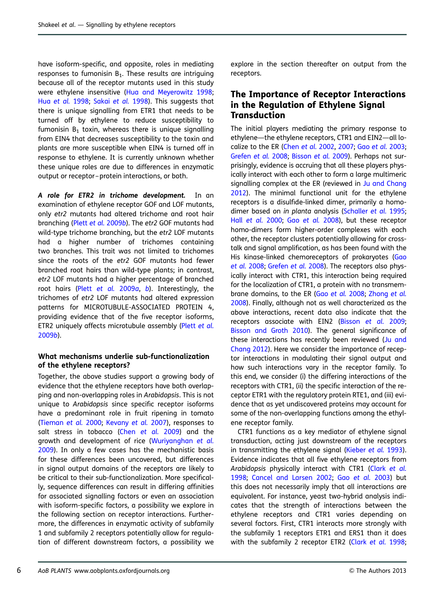have isoform-specific, and opposite, roles in mediating responses to fumonisin  $B_1$ . These results are intriguing because all of the receptor mutants used in this study were ethylene insensitive ([Hua and Meyerowitz 1998](#page-14-0); Hua [et al.](#page-14-0) 1998; Sakai [et al.](#page-15-0) 1998). This suggests that there is unique signalling from ETR1 that needs to be turned off by ethylene to reduce susceptibility to fumonisin  $B_1$  toxin, whereas there is unique signalling from EIN4 that decreases susceptibility to the toxin and plants are more susceptible when EIN4 is turned off in response to ethylene. It is currently unknown whether these unique roles are due to differences in enzymatic output or receptor –protein interactions, or both.

A role for ETR2 in trichome development. In an examination of ethylene receptor GOF and LOF mutants, only etr2 mutants had altered trichome and root hair branching (Plett et al. [2009](#page-15-0)b). The etr2 GOF mutants had wild-type trichome branching, but the etr2 LOF mutants had a higher number of trichomes containing two branches. This trait was not limited to trichomes since the roots of the etr2 GOF mutants had fewer branched root hairs than wild-type plants; in contrast, etr2 LOF mutants had a higher percentage of branched root hairs (Plett [et al.](#page-15-0) 2009a, [b](#page-15-0)). Interestingly, the trichomes of etr2 LOF mutants had altered expression patterns for MICROTUBULE-ASSOCIATED PROTEIN 4, providing evidence that of the five receptor isoforms, ETR2 uniquely affects microtubule assembly (Plett [et al.](#page-15-0) [2009](#page-15-0)b).

#### What mechanisms underlie sub-functionalization of the ethylene receptors?

Together, the above studies support a growing body of evidence that the ethylene receptors have both overlapping and non-overlapping roles in Arabidopsis. This is not unique to Arabidopsis since specific receptor isoforms have a predominant role in fruit ripening in tomato [\(Tieman](#page-15-0) et al. 2000; [Kevany](#page-14-0) et al. 2007), responses to salt stress in tobacco (Chen [et al.](#page-13-0) 2009) and the growth and development of rice ([Wuriyanghan](#page-15-0) et al. [2009\)](#page-15-0). In only a few cases has the mechanistic basis for these differences been uncovered, but differences in signal output domains of the receptors are likely to be critical to their sub-functionalization. More specifically, sequence differences can result in differing affinities for associated signalling factors or even an association with isoform-specific factors, a possibility we explore in the following section on receptor interactions. Furthermore, the differences in enzymatic activity of subfamily 1 and subfamily 2 receptors potentially allow for regulation of different downstream factors, a possibility we

explore in the section thereafter on output from the receptors.

### The Importance of Receptor Interactions in the Regulation of Ethylene Signal **Transduction**

The initial players mediating the primary response to ethylene—the ethylene receptors, CTR1 and EIN2—all localize to the ER [\(Chen](#page-13-0) et al. 2002, [2007;](#page-13-0) Gao et al. [2003](#page-13-0); [Grefen](#page-13-0) et al. 2008; [Bisson](#page-13-0) et al. 2009). Perhaps not surprisingly, evidence is accruing that all these players physically interact with each other to form a large multimeric signalling complex at the ER (reviewed in [Ju and Chang](#page-14-0) [2012\)](#page-14-0). The minimal functional unit for the ethylene receptors is a disulfide-linked dimer, primarily a homo-dimer based on in planta analysis [\(Schaller](#page-15-0) et al. 1995; Hall [et al.](#page-14-0) 2000; Gao [et al.](#page-13-0) 2008), but these receptor homo-dimers form higher-order complexes with each other, the receptor clusters potentially allowing for crosstalk and signal amplification, as has been found with the His kinase-linked chemoreceptors of prokaryotes [\(Gao](#page-13-0) et al. [2008;](#page-13-0) [Grefen](#page-13-0) et al. 2008). The receptors also physically interact with CTR1, this interaction being required for the localization of CTR1, a protein with no transmembrane domains, to the ER (Gao [et al.](#page-13-0) 2008; [Zhong](#page-16-0) et al. [2008\)](#page-16-0). Finally, although not as well characterized as the above interactions, recent data also indicate that the receptors associate with EIN2 ([Bisson](#page-13-0) et al. 2009; [Bisson and Groth 2010](#page-13-0)). The general significance of these interactions has recently been reviewed ([Ju and](#page-14-0) [Chang 2012\)](#page-14-0). Here we consider the importance of receptor interactions in modulating their signal output and how such interactions vary in the receptor family. To this end, we consider (i) the differing interactions of the receptors with CTR1, (ii) the specific interaction of the receptor ETR1 with the regulatory protein RTE1, and (iii) evidence that as yet undiscovered proteins may account for some of the non-overlapping functions among the ethylene receptor family.

CTR1 functions as a key mediator of ethylene signal transduction, acting just downstream of the receptors in transmitting the ethylene signal ([Kieber](#page-14-0) et al. 1993). Evidence indicates that all five ethylene receptors from Arabidopsis physically interact with CTR1 (Clark [et al.](#page-13-0) [1998;](#page-13-0) [Cancel and Larsen 2002;](#page-13-0) Gao [et al.](#page-13-0) 2003) but this does not necessarily imply that all interactions are equivalent. For instance, yeast two-hybrid analysis indicates that the strength of interactions between the ethylene receptors and CTR1 varies depending on several factors. First, CTR1 interacts more strongly with the subfamily 1 receptors ETR1 and ERS1 than it does with the subfamily 2 receptor ETR2 (Clark [et al.](#page-13-0) 1998;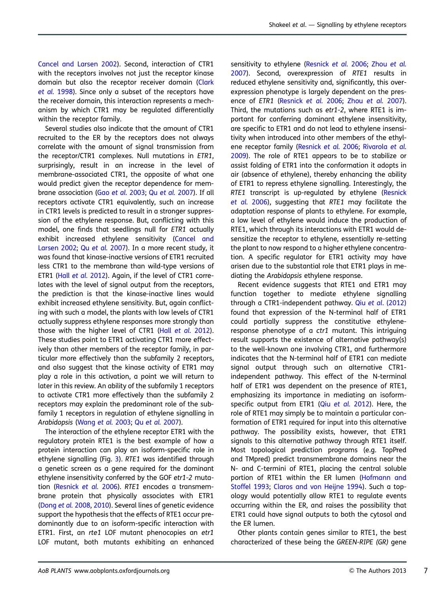[Cancel and Larsen 2002\)](#page-13-0). Second, interaction of CTR1 with the receptors involves not just the receptor kingse domain but also the receptor receiver domain ([Clark](#page-13-0) [et al.](#page-13-0) 1998). Since only a subset of the receptors have the receiver domain, this interaction represents a mechanism by which CTR1 may be regulated differentially within the receptor family.

Several studies also indicate that the amount of CTR1 recruited to the ER by the receptors does not always correlate with the amount of signal transmission from the receptor/CTR1 complexes. Null mutations in ETR1, surprisingly, result in an increase in the level of membrane-associated CTR1, the opposite of what one would predict given the receptor dependence for membrane association (Gao [et al.](#page-13-0) 2003; Qu et al. [2007\)](#page-15-0). If all receptors activate CTR1 equivalently, such an increase in CTR1 levels is predicted to result in a stronger suppression of the ethylene response. But, conflicting with this model, one finds that seedlings null for ETR1 actually exhibit increased ethylene sensitivity [\(Cancel and](#page-13-0) [Larsen 2002](#page-13-0); Qu [et al.](#page-15-0) 2007). In a more recent study, it was found that kinase-inactive versions of ETR1 recruited less CTR1 to the membrane than wild-type versions of ETR1 (Hall [et al.](#page-14-0) 2012). Again, if the level of CTR1 correlates with the level of signal output from the receptors, the prediction is that the kinase-inactive lines would exhibit increased ethylene sensitivity. But, again conflicting with such a model, the plants with low levels of CTR1 actually suppress ethylene responses more strongly than those with the higher level of CTR1 (Hall [et al.](#page-14-0) 2012). These studies point to ETR1 activating CTR1 more effectively than other members of the receptor family, in particular more effectively than the subfamily 2 receptors, and also suggest that the kinase activity of ETR1 may play a role in this activation, a point we will return to later in this review. An ability of the subfamily 1 receptors to activate CTR1 more effectively than the subfamily 2 receptors may explain the predominant role of the subfamily 1 receptors in regulation of ethylene signalling in Arabidopsis ([Wang](#page-15-0) et al. 2003; Qu et al. [2007\)](#page-15-0).

The interaction of the ethylene receptor ETR1 with the regulatory protein RTE1 is the best example of how a protein interaction can play an isoform-specific role in ethylene signalling (Fig. [3](#page-5-0)). RTE1 was identified through a genetic screen as a gene required for the dominant ethylene insensitivity conferred by the GOF etr1-2 muta-tion ([Resnick](#page-15-0) et al. 2006). RTE1 encodes a transmembrane protein that physically associates with ETR1 [\(Dong](#page-13-0) et al. 2008, [2010\)](#page-13-0). Several lines of genetic evidence support the hypothesis that the effects of RTE1 occur predominantly due to an isoform-specific interaction with ETR1. First, an rte1 LOF mutant phenocopies an etr1 LOF mutant, both mutants exhibiting an enhanced

sensitivity to ethylene ([Resnick](#page-15-0) [et al.](#page-16-0) 2006; Zhou et al. [2007\)](#page-16-0). Second, overexpression of RTE1 results in reduced ethylene sensitivity and, significantly, this overexpression phenotype is largely dependent on the presence of ETR1 [\(Resnick](#page-15-0) et al. 2006; Zhou [et al.](#page-16-0) 2007). Third, the mutations such as etr1-2, where RTE1 is important for conferring dominant ethylene insensitivity, are specific to ETR1 and do not lead to ethylene insensitivity when introduced into other members of the ethylene receptor family [\(Resnick](#page-15-0) et al. 2006; [Rivarola](#page-15-0) et al. [2009\)](#page-15-0). The role of RTE1 appears to be to stabilize or assist folding of ETR1 into the conformation it adopts in air (absence of ethylene), thereby enhancing the ability of ETR1 to repress ethylene signalling. Interestingly, the RTE1 transcript is up-regulated by ethylene ([Resnick](#page-15-0) [et al.](#page-15-0) 2006), suggesting that RTE1 may facilitate the adaptation response of plants to ethylene. For example, a low level of ethylene would induce the production of RTE1, which through its interactions with ETR1 would desensitize the receptor to ethylene, essentially re-setting the plant to now respond to a higher ethylene concentration. A specific regulator for ETR1 activity may have arisen due to the substantial role that ETR1 plays in mediating the Arabidopsis ethylene response.

Recent evidence suggests that RTE1 and ETR1 may function together to mediate ethylene signalling through a CTR1-independent pathway. Qiu et al[. \(2012\)](#page-15-0) found that expression of the N-terminal half of ETR1 could partially suppress the constitutive ethyleneresponse phenotype of a ctr1 mutant. This intriguing result supports the existence of alternative pathway(s) to the well-known one involving CTR1, and furthermore indicates that the N-terminal half of ETR1 can mediate signal output through such an alternative CTR1 independent pathway. This effect of the N-terminal half of ETR1 was dependent on the presence of RTE1, emphasizing its importance in mediating an isoformspecific output from ETR1 (Qiu [et al.](#page-15-0) 2012). Here, the role of RTE1 may simply be to maintain a particular conformation of ETR1 required for input into this alternative pathway. The possibility exists, however, that ETR1 signals to this alternative pathway through RTE1 itself. Most topological prediction programs (e.g. TopPred and TMpred) predict transmembrane domains near the N- and C-termini of RTE1, placing the central soluble portion of RTE1 within the ER lumen [\(Hofmann and](#page-14-0) [Stoffel 1993](#page-14-0); [Claros and von Heijne 1994](#page-13-0)). Such a topology would potentially allow RTE1 to regulate events occurring within the ER, and raises the possibility that ETR1 could have signal outputs to both the cytosol and the ER lumen.

Other plants contain genes similar to RTE1, the best characterized of these being the GREEN-RIPE (GR) gene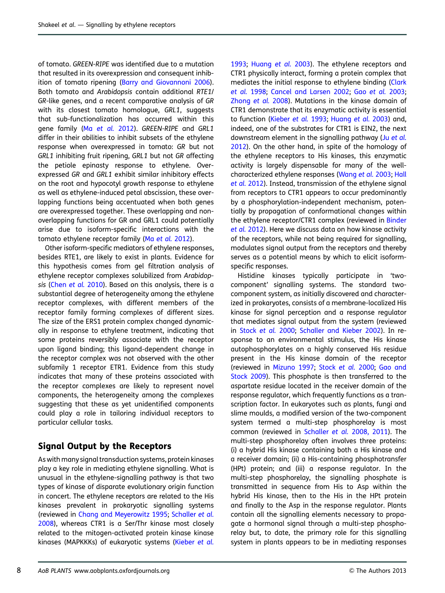of tomato. GREEN-RIPE was identified due to a mutation that resulted in its overexpression and consequent inhibition of tomato ripening ([Barry and Giovannoni 2006](#page-13-0)). Both tomato and Arabidopsis contain additional RTE1/ GR-like genes, and a recent comparative analysis of GR with its closest tomato homologue, GRL1, suggests that sub-functionalization has occurred within this gene family (Ma [et al.](#page-14-0) 2012). GREEN-RIPE and GRL1 differ in their abilities to inhibit subsets of the ethylene response when overexpressed in tomato: GR but not GRL1 inhibiting fruit ripening, GRL1 but not GR affecting the petiole epinasty response to ethylene. Overexpressed GR and GRL1 exhibit similar inhibitory effects on the root and hypocotyl growth response to ethylene as well as ethylene-induced petal abscission, these overlapping functions being accentuated when both genes are overexpressed together. These overlapping and nonoverlapping functions for GR and GRL1 could potentially arise due to isoform-specific interactions with the tomato ethylene receptor family (Ma [et al.](#page-14-0) 2012).

Other isoform-specific mediators of ethylene responses, besides RTE1, are likely to exist in plants. Evidence for this hypothesis comes from gel filtration analysis of ethylene receptor complexes solubilized from Arabidop-sis (Chen et al. [2010\)](#page-13-0). Based on this analysis, there is a substantial degree of heterogeneity among the ethylene receptor complexes, with different members of the receptor family forming complexes of different sizes. The size of the ERS1 protein complex changed dynamically in response to ethylene treatment, indicating that some proteins reversibly associate with the receptor upon ligand binding; this ligand-dependent change in the receptor complex was not observed with the other subfamily 1 receptor ETR1. Evidence from this study indicates that many of these proteins associated with the receptor complexes are likely to represent novel components, the heterogeneity among the complexes suggesting that these as yet unidentified components could play a role in tailoring individual receptors to particular cellular tasks.

## Signal Output by the Receptors

As with many signal transduction systems, protein kinases play a key role in mediating ethylene signalling. What is unusual in the ethylene-signalling pathway is that two types of kinase of disparate evolutionary origin function in concert. The ethylene receptors are related to the His kinases prevalent in prokaryotic signalling systems (reviewed in [Chang and Meyerowitz 1995](#page-13-0); [Schaller](#page-15-0) et al. [2008\)](#page-15-0), whereas CTR1 is a Ser/Thr kinase most closely related to the mitogen-activated protein kinase kinase kinases (MAPKKKs) of eukaryotic systems [\(Kieber](#page-14-0) et al.

[1993;](#page-14-0) [Huang](#page-14-0) et al. 2003). The ethylene receptors and CTR1 physically interact, forming a protein complex that mediates the initial response to ethylene binding ([Clark](#page-13-0) [et al.](#page-13-0) 1998; [Cancel and Larsen 2002;](#page-13-0) Gao [et al.](#page-13-0) 2003; [Zhong](#page-16-0) et al. 2008). Mutations in the kinase domain of CTR1 demonstrate that its enzymatic activity is essential to function [\(Kieber](#page-14-0) et al. 1993; [Huang](#page-14-0) et al. 2003) and, indeed, one of the substrates for CTR1 is EIN2, the next downstream element in the signalling pathway (Ju [et al.](#page-14-0) [2012\)](#page-14-0). On the other hand, in spite of the homology of the ethylene receptors to His kinases, this enzymatic activity is largely dispensable for many of the wellcharacterized ethylene responses [\(Wang](#page-15-0) et al. 2003; [Hall](#page-14-0) et al. [2012\)](#page-14-0). Instead, transmission of the ethylene signal from receptors to CTR1 appears to occur predominantly by a phosphorylation-independent mechanism, potentially by propagation of conformational changes within the ethylene receptor/CTR1 complex (reviewed in [Binder](#page-13-0) et al. [2012\)](#page-13-0). Here we discuss data on how kinase activity of the receptors, while not being required for signalling, modulates signal output from the receptors and thereby serves as a potential means by which to elicit isoformspecific responses.

Histidine kinases typically participate in 'twocomponent' signalling systems. The standard twocomponent system, as initially discovered and characterized in prokaryotes, consists of a membrane-localized His kinase for signal perception and a response regulator that mediates signal output from the system (reviewed in [Stock](#page-15-0) et al. 2000; [Schaller and Kieber 2002\)](#page-15-0). In response to an environmental stimulus, the His kinase autophosphorylates on a highly conserved His residue present in the His kinase domain of the receptor (reviewed in [Mizuno 1997](#page-14-0); [Stock](#page-15-0) et al. 2000; [Gao and](#page-13-0) [Stock 2009](#page-13-0)). This phosphate is then transferred to the aspartate residue located in the receiver domain of the response regulator, which frequently functions as a transcription factor. In eukaryotes such as plants, fungi and slime moulds, a modified version of the two-component system termed a multi-step phosphorelay is most common (reviewed in [Schaller](#page-15-0) et al. 2008[, 2011](#page-15-0)). The multi-step phosphorelay often involves three proteins: (i) a hybrid His kinase containing both a His kinase and a receiver domain; (ii) a His-containing phosphotransfer (HPt) protein; and (iii) a response regulator. In the multi-step phosphorelay, the signalling phosphate is transmitted in sequence from His to Asp within the hybrid His kinase, then to the His in the HPt protein and finally to the Asp in the response regulator. Plants contain all the signalling elements necessary to propagate a hormonal signal through a multi-step phosphorelay but, to date, the primary role for this signalling system in plants appears to be in mediating responses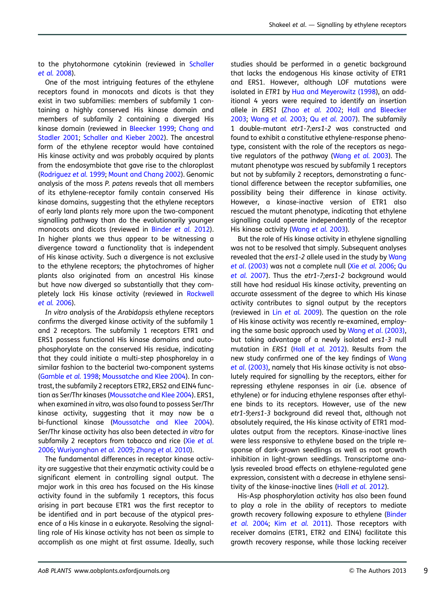to the phytohormone cytokinin (reviewed in [Schaller](#page-15-0) et al. [2008\)](#page-15-0).

One of the most intriguing features of the ethylene receptors found in monocots and dicots is that they exist in two subfamilies: members of subfamily 1 containing a highly conserved His kinase domain and members of subfamily 2 containing a diverged His kinase domain (reviewed in [Bleecker 1999](#page-13-0); [Chang and](#page-13-0) [Stadler 2001](#page-13-0); [Schaller and Kieber 2002\)](#page-15-0). The ancestral form of the ethylene receptor would have contained His kinase activity and was probably acquired by plants from the endosymbiote that gave rise to the chloroplast [\(Rodriguez](#page-15-0) et al. 1999; [Mount and Chang 2002](#page-14-0)). Genomic analysis of the moss P. patens reveals that all members of its ethylene-receptor family contain conserved His kinase domains, suggesting that the ethylene receptors of early land plants rely more upon the two-component signalling pathway than do the evolutionarily younger monocots and dicots (reviewed in [Binder](#page-13-0) et al. 2012). In higher plants we thus appear to be witnessing a divergence toward a functionality that is independent of His kinase activity. Such a divergence is not exclusive to the ethylene receptors; the phytochromes of higher plants also originated from an ancestral His kinase but have now diverged so substantially that they completely lack His kinase activity (reviewed in [Rockwell](#page-15-0) et al. [2006\)](#page-15-0).

In vitro analysis of the Arabidopsis ethylene receptors confirms the diverged kinase activity of the subfamily 1 and 2 receptors. The subfamily 1 receptors ETR1 and ERS1 possess functional His kinase domains and autophosphorylate on the conserved His residue, indicating that they could initiate a multi-step phosphorelay in a similar fashion to the bacterial two-component systems [\(Gamble](#page-13-0) et al. 1998; [Moussatche and Klee 2004\)](#page-14-0). In contrast, the subfamily 2 receptors ETR2, ERS2 and EIN4 function as Ser/Thr kinases [\(Moussatche and Klee 2004\)](#page-14-0). ERS1, when examined in vitro, was also found to possess Ser/Thr kinase activity, suggesting that it may now be a bi-functional kinase ([Moussatche and Klee 2004](#page-14-0)). Ser/Thr kinase activity has also been detected in vitro for subfamily 2 receptors from tobacco and rice (Xie [et al.](#page-15-0) [2006;](#page-15-0) [Wuriyanghan](#page-15-0) et al. 2009; [Zhang](#page-16-0) et al. 2010).

The fundamental differences in receptor kinase activity are suggestive that their enzymatic activity could be a significant element in controlling signal output. The major work in this area has focused on the His kinase activity found in the subfamily 1 receptors, this focus arising in part because ETR1 was the first receptor to be identified and in part because of the atypical presence of a His kinase in a eukaryote. Resolving the signalling role of His kinase activity has not been as simple to accomplish as one might at first assume. Ideally, such

studies should be performed in a genetic background that lacks the endogenous His kinase activity of ETR1 and ERS1. However, although LOF mutations were isolated in ETR1 by [Hua and Meyerowitz \(1998](#page-14-0)), an additional 4 years were required to identify an insertion allele in ERS1 (Zhao [et al.](#page-16-0) 2002; [Hall and Bleecker](#page-14-0) [2003;](#page-14-0) [Wang](#page-15-0) et al. 2003; Qu [et al.](#page-15-0) 2007). The subfamily 1 double-mutant etr1-7;ers1-2 was constructed and found to exhibit a constitutive ethylene-response phenotype, consistent with the role of the receptors as nega-tive regulators of the pathway ([Wang](#page-15-0) et al. 2003). The mutant phenotype was rescued by subfamily 1 receptors but not by subfamily 2 receptors, demonstrating a functional difference between the receptor subfamilies, one possibility being their difference in kinase activity. However, a kinase-inactive version of ETR1 also rescued the mutant phenotype, indicating that ethylene signalling could operate independently of the receptor His kinase activity ([Wang](#page-15-0) et al. 2003).

But the role of His kinase activity in ethylene signalling was not to be resolved that simply. Subsequent analyses revealed that the ers1-2 allele used in the study by [Wang](#page-15-0) et al[. \(2003\)](#page-15-0) was not a complete null (Xie et al. [2006;](#page-15-0) [Qu](#page-15-0) [et al.](#page-15-0) 2007). Thus the etr1-7;ers1-2 background would still have had residual His kinase activity, preventing an accurate assessment of the degree to which His kinase activity contributes to signal output by the receptors (reviewed in Lin [et al.](#page-14-0) 2009). The question on the role of His kinase activity was recently re-examined, employing the same basic approach used by Wang et al[. \(2003\)](#page-15-0), but taking advantage of a newly isolated ers1-3 null mutation in ERS1 (Hall [et al.](#page-14-0) 2012). Results from the new study confirmed one of the key findings of [Wang](#page-15-0) et al[. \(2003\)](#page-15-0), namely that His kinase activity is not absolutely required for signalling by the receptors, either for repressing ethylene responses in air (i.e. absence of ethylene) or for inducing ethylene responses after ethylene binds to its receptors. However, use of the new etr1-9;ers1-3 background did reveal that, although not absolutely required, the His kinase activity of ETR1 modulates output from the receptors. Kinase-inactive lines were less responsive to ethylene based on the triple response of dark-grown seedlings as well as root growth inhibition in light-grown seedlings. Transcriptome analysis revealed broad effects on ethylene-regulated gene expression, consistent with a decrease in ethylene sensitivity of the kinase-inactive lines (Hall [et al.](#page-14-0) 2012).

His-Asp phosphorylation activity has also been found to play a role in the ability of receptors to mediate growth recovery following exposure to ethylene ([Binder](#page-13-0) [et al.](#page-14-0) 2004; Kim et al. 2011). Those receptors with receiver domains (ETR1, ETR2 and EIN4) facilitate this growth recovery response, while those lacking receiver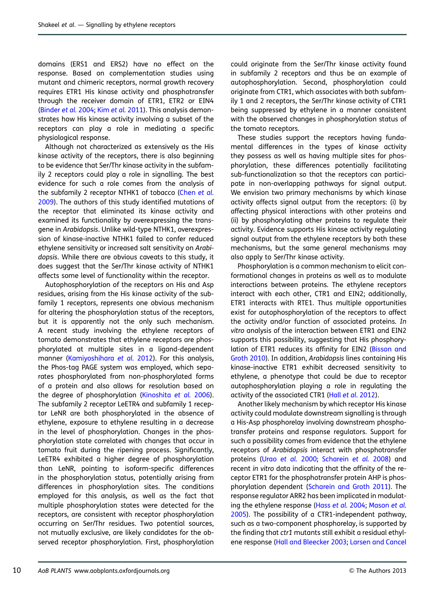domains (ERS1 and ERS2) have no effect on the response. Based on complementation studies using mutant and chimeric receptors, normal growth recovery requires ETR1 His kinase activity and phosphotransfer through the receiver domain of ETR1, ETR2 or EIN4 [\(Binder](#page-13-0) et al. 2004; Kim et al. [2011\)](#page-14-0). This analysis demonstrates how His kinase activity involving a subset of the receptors can play a role in mediating a specific physiological response.

Although not characterized as extensively as the His kinase activity of the receptors, there is also beginning to be evidence that Ser/Thr kinase activity in the subfamily 2 receptors could play a role in signalling. The best evidence for such a role comes from the analysis of the subfamily 2 receptor NTHK1 of tobacco (Chen [et al.](#page-13-0) [2009\)](#page-13-0). The authors of this study identified mutations of the receptor that eliminated its kinase activity and examined its functionality by overexpressing the transgene in Arabidopsis. Unlike wild-type NTHK1, overexpression of kinase-inactive NTHK1 failed to confer reduced ethylene sensitivity or increased salt sensitivity on Arabidopsis. While there are obvious caveats to this study, it does suggest that the Ser/Thr kinase activity of NTHK1 affects some level of functionality within the receptor.

Autophosphorylation of the receptors on His and Asp residues, arising from the His kinase activity of the subfamily 1 receptors, represents one obvious mechanism for altering the phosphorylation status of the receptors, but it is apparently not the only such mechanism. A recent study involving the ethylene receptors of tomato demonstrates that ethylene receptors are phosphorylated at multiple sites in a ligand-dependent manner [\(Kamiyoshihara](#page-14-0) et al. 2012). For this analysis, the Phos-tag PAGE system was employed, which separates phosphorylated from non-phosphorylated forms of a protein and also allows for resolution based on the degree of phosphorylation [\(Kinoshita](#page-14-0) et al. 2006). The subfamily 2 receptor LeETR4 and subfamily 1 receptor LeNR are both phosphorylated in the absence of ethylene, exposure to ethylene resulting in a decrease in the level of phosphorylation. Changes in the phosphorylation state correlated with changes that occur in tomato fruit during the ripening process. Significantly, LeETR4 exhibited a higher degree of phosphorylation than LeNR, pointing to isoform-specific differences in the phosphorylation status, potentially arising from differences in phosphorylation sites. The conditions employed for this analysis, as well as the fact that multiple phosphorylation states were detected for the receptors, are consistent with receptor phosphorylation occurring on Ser/Thr residues. Two potential sources, not mutually exclusive, are likely candidates for the observed receptor phosphorylation. First, phosphorylation

could originate from the Ser/Thr kinase activity found in subfamily 2 receptors and thus be an example of autophosphorylation. Second, phosphorylation could originate from CTR1, which associates with both subfamily 1 and 2 receptors, the Ser/Thr kinase activity of CTR1 being suppressed by ethylene in a manner consistent with the observed changes in phosphorylation status of the tomato receptors.

These studies support the receptors having fundamental differences in the types of kinase activity they possess as well as having multiple sites for phosphorylation, these differences potentially facilitating sub-functionalization so that the receptors can participate in non-overlapping pathways for signal output. We envision two primary mechanisms by which kinase activity affects signal output from the receptors: (i) by affecting physical interactions with other proteins and (ii) by phosphorylating other proteins to regulate their activity. Evidence supports His kinase activity regulating signal output from the ethylene receptors by both these mechanisms, but the same general mechanisms may also apply to Ser/Thr kinase activity.

Phosphorylation is a common mechanism to elicit conformational changes in proteins as well as to modulate interactions between proteins. The ethylene receptors interact with each other, CTR1 and EIN2; additionally, ETR1 interacts with RTE1. Thus multiple opportunities exist for autophosphorylation of the receptors to affect the activity and/or function of associated proteins. In vitro analysis of the interaction between ETR1 and EIN2 supports this possibility, suggesting that His phosphory-lation of ETR1 reduces its affinity for EIN2 ([Bisson and](#page-13-0) [Groth 2010](#page-13-0)). In addition, Arabidopsis lines containing His kinase-inactive ETR1 exhibit decreased sensitivity to ethylene, a phenotype that could be due to receptor autophosphorylation playing a role in regulating the activity of the associated CTR1 (Hall et al[. 2012](#page-14-0)).

Another likely mechanism by which receptor His kinase activity could modulate downstream signalling is through a His-Asp phosphorelay involving downstream phosphotransfer proteins and response regulators. Support for such a possibility comes from evidence that the ethylene receptors of Arabidopsis interact with phosphotransfer proteins (Urao [et al.](#page-15-0) 2000; [Scharein](#page-15-0) et al. 2008) and recent in vitro data indicating that the affinity of the receptor ETR1 for the phosphotransfer protein AHP is phosphorylation dependent ([Scharein and Groth 2011\)](#page-15-0). The response regulator ARR2 has been implicated in modulating the ethylene response (Hass et al. [2004](#page-14-0); [Mason](#page-14-0) et al. [2005\)](#page-14-0). The possibility of a CTR1-independent pathway, such as a two-component phosphorelay, is supported by the finding that ctr1 mutants still exhibit a residual ethylene response [\(Hall and Bleecker 2003](#page-14-0); [Larsen and Cancel](#page-14-0)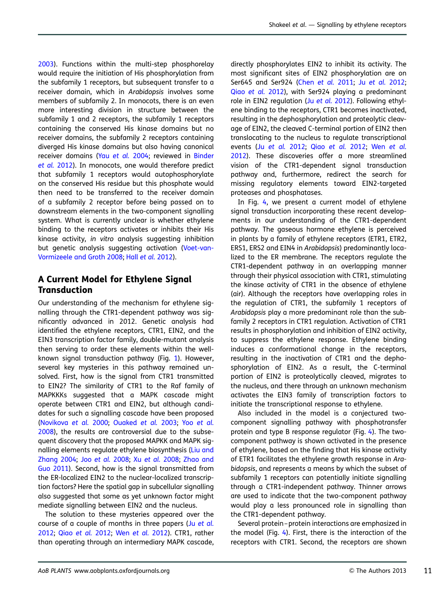[2003\)](#page-14-0). Functions within the multi-step phosphorelay would require the initiation of His phosphorylation from the subfamily 1 receptors, but subsequent transfer to a receiver domain, which in Arabidopsis involves some members of subfamily 2. In monocots, there is an even more interesting division in structure between the subfamily 1 and 2 receptors, the subfamily 1 receptors containing the conserved His kinase domains but no receiver domains, the subfamily 2 receptors containing diverged His kinase domains but also having canonical receiver domains (Yau [et al.](#page-16-0) 2004; reviewed in [Binder](#page-13-0) [et al.](#page-13-0) 2012). In monocots, one would therefore predict that subfamily 1 receptors would autophosphorylate on the conserved His residue but this phosphate would then need to be transferred to the receiver domain of a subfamily 2 receptor before being passed on to downstream elements in the two-component signalling system. What is currently unclear is whether ethylene binding to the receptors activates or inhibits their His kinase activity, in vitro analysis suggesting inhibition but genetic analysis suggesting activation [\(Voet-van-](#page-15-0)[Vormizeele and Groth 2008](#page-15-0); Hall et al. [2012](#page-14-0)).

## A Current Model for Ethylene Signal **Transduction**

Our understanding of the mechanism for ethylene signalling through the CTR1-dependent pathway was significantly advanced in 2012. Genetic analysis had identified the ethylene receptors, CTR1, EIN2, and the EIN3 transcription factor family, double-mutant analysis then serving to order these elements within the wellknown signal transduction pathway (Fig. [1](#page-2-0)). However, several key mysteries in this pathway remained unsolved. First, how is the signal from CTR1 transmitted to EIN2? The similarity of CTR1 to the Raf family of MAPKKKs suggested that a MAPK cascade might operate between CTR1 and EIN2, but although candidates for such a signalling cascade have been proposed [\(Novikova](#page-15-0) et al. 2000; [Ouaked](#page-15-0) et al. 2003; Yoo [et al.](#page-16-0) [2008\)](#page-16-0), the results are controversial due to the subsequent discovery that the proposed MAPKK and MAPK signalling elements regulate ethylene biosynthesis ([Liu and](#page-14-0) [Zhang 2004](#page-14-0); Joo [et al.](#page-14-0) 2008; Xu [et al.](#page-16-0) 2008; [Zhao and](#page-16-0) [Guo 2011\)](#page-16-0). Second, how is the signal transmitted from the ER-localized EIN2 to the nuclear-localized transcription factors? Here the spatial gap in subcellular signalling also suggested that some as yet unknown factor might mediate signalling between EIN2 and the nucleus.

The solution to these mysteries appeared over the course of a couple of months in three papers (Ju [et al.](#page-14-0) [2012;](#page-14-0) Qiao [et al.](#page-15-0) 2012; Wen [et al.](#page-15-0) 2012). CTR1, rather than operating through an intermediary MAPK cascade,

directly phosphorylates EIN2 to inhibit its activity. The most significant sites of EIN2 phosphorylation are on Ser645 and Ser924 (Chen [et al.](#page-13-0) 2011; Ju [et al.](#page-14-0) 2012; Qiao [et al.](#page-15-0) 2012), with Ser924 playing a predominant role in EIN2 regulation (Ju [et al.](#page-14-0) 2012). Following ethylene binding to the receptors, CTR1 becomes inactivated, resulting in the dephosphorylation and proteolytic cleavage of EIN2, the cleaved C-terminal portion of EIN2 then translocating to the nucleus to regulate transcriptional events (Ju [et al.](#page-14-0) 2012; Qiao [et al.](#page-15-0) 2012; Wen [et al.](#page-15-0) [2012\)](#page-15-0). These discoveries offer a more streamlined vision of the CTR1-dependent signal transduction pathway and, furthermore, redirect the search for missing regulatory elements toward EIN2-targeted proteases and phosphatases.

In Fig. [4,](#page-12-0) we present a current model of ethylene signal transduction incorporating these recent developments in our understanding of the CTR1-dependent pathway. The gaseous hormone ethylene is perceived in plants by a family of ethylene receptors (ETR1, ETR2, ERS1, ERS2 and EIN4 in Arabidopsis) predominantly localized to the ER membrane. The receptors regulate the CTR1-dependent pathway in an overlapping manner through their physical association with CTR1, stimulating the kinase activity of CTR1 in the absence of ethylene (air). Although the receptors have overlapping roles in the regulation of CTR1, the subfamily 1 receptors of Arabidopsis play a more predominant role than the subfamily 2 receptors in CTR1 regulation. Activation of CTR1 results in phosphorylation and inhibition of EIN2 activity, to suppress the ethylene response. Ethylene binding induces a conformational change in the receptors, resulting in the inactivation of CTR1 and the dephosphorylation of EIN2. As a result, the C-terminal portion of EIN2 is proteolytically cleaved, migrates to the nucleus, and there through an unknown mechanism activates the EIN3 family of transcription factors to initiate the transcriptional response to ethylene.

Also included in the model is a conjectured twocomponent signalling pathway with phosphotransfer protein and type B response regulator (Fig. [4](#page-12-0)). The twocomponent pathway is shown activated in the presence of ethylene, based on the finding that His kinase activity of ETR1 facilitates the ethylene growth response in Arabidopsis, and represents a means by which the subset of subfamily 1 receptors can potentially initiate signalling through a CTR1-independent pathway. Thinner arrows are used to indicate that the two-component pathway would play a less pronounced role in signalling than the CTR1-dependent pathway.

Several protein –protein interactions are emphasized in the model (Fig. [4](#page-12-0)). First, there is the interaction of the receptors with CTR1. Second, the receptors are shown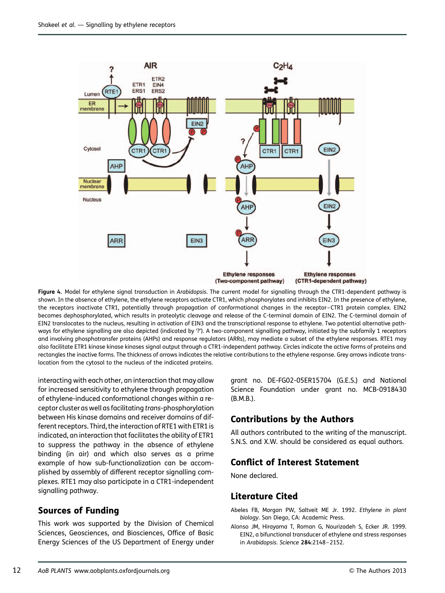<span id="page-12-0"></span>

Figure 4. Model for ethylene signal transduction in Arabidopsis. The current model for signalling through the CTR1-dependent pathway is shown. In the absence of ethylene, the ethylene receptors activate CTR1, which phosphorylates and inhibits EIN2. In the presence of ethylene, the receptors inactivate CTR1, potentially through propagation of conformational changes in the receptor–CTR1 protein complex. EIN2 becomes dephosphorylated, which results in proteolytic cleavage and release of the C-terminal domain of EIN2. The C-terminal domain of EIN2 translocates to the nucleus, resulting in activation of EIN3 and the transcriptional response to ethylene. Two potential alternative pathways for ethylene signalling are also depicted (indicated by '?'). A two-component signalling pathway, initiated by the subfamily 1 receptors and involving phosphotransfer proteins (AHPs) and response regulators (ARRs), may mediate a subset of the ethylene responses. RTE1 may also facilitate ETR1 kinase kinase kinases signal output through a CTR1-independent pathway. Circles indicate the active forms of proteins and rectangles the inactive forms. The thickness of arrows indicates the relative contributions to the ethylene response. Grey arrows indicate translocation from the cytosol to the nucleus of the indicated proteins.

interacting with each other, an interaction that may allow for increased sensitivity to ethylene through propagation of ethylene-induced conformational changes within a receptor cluster as well as facilitating trans-phosphorylation between His kinase domains and receiver domains of different receptors. Third, the interaction of RTE1 with ETR1 is indicated, an interaction that facilitates the ability of ETR1 to suppress the pathway in the absence of ethylene binding (in air) and which also serves as a prime example of how sub-functionalization can be accomplished by assembly of different receptor signalling complexes. RTE1 may also participate in a CTR1-independent signalling pathway.

## Sources of Funding

This work was supported by the Division of Chemical Sciences, Geosciences, and Biosciences, Office of Basic Energy Sciences of the US Department of Energy under grant no. DE-FG02-05ER15704 (G.E.S.) and National Science Foundation under grant no. MCB-0918430 (B.M.B.).

## Contributions by the Authors

All authors contributed to the writing of the manuscript. S.N.S. and X.W. should be considered as equal authors.

## Conflict of Interest Statement

None declared.

### Literature Cited

Abeles FB, Morgan PW, Saltveit ME Jr. 1992. Ethylene in plant biology. San Diego, CA: Academic Press.

Alonso JM, Hirayama T, Roman G, Nourizadeh S, Ecker JR. 1999. EIN2, a bifunctional transducer of ethylene and stress responses in Arabidopsis. Science 284:2148-2152.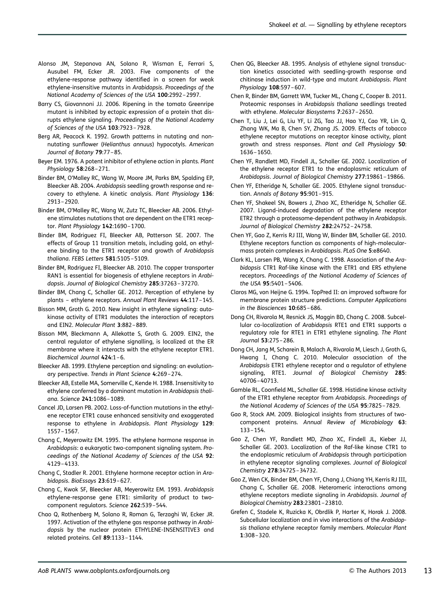- <span id="page-13-0"></span>Alonso JM, Stepanova AN, Solano R, Wisman E, Ferrari S, Ausubel FM, Ecker JR. 2003. Five components of the ethylene-response pathway identified in a screen for weak ethylene-insensitive mutants in Arabidopsis. Proceedings of the National Academy of Sciences of the USA 100:2992 –2997.
- Barry CS, Giovannoni JJ. 2006. Ripening in the tomato Greenripe mutant is inhibited by ectopic expression of a protein that disrupts ethylene signaling. Proceedings of the National Academy of Sciences of the USA 103:7923 –7928.
- Berg AR, Peacock K. 1992. Growth patterns in nutating and nonnutating sunflower (Helianthus annuus) hypocotyls. American Journal of Botany 79:77–85.
- Beyer EM. 1976. A potent inhibitor of ethylene action in plants. Plant Physiology 58:268 –271.
- Binder BM, O'Malley RC, Wang W, Moore JM, Parks BM, Spalding EP, Bleecker AB. 2004. Arabidopsis seedling growth response and recovery to ethylene. A kinetic analysis. Plant Physiology 136: 2913 –2920.
- Binder BM, O'Malley RC, Wang W, Zutz TC, Bleecker AB. 2006. Ethylene stimulates nutations that are dependent on the ETR1 receptor. Plant Physiology 142:1690-1700.
- Binder BM, Rodriguez FI, Bleecker AB, Patterson SE. 2007. The effects of Group 11 transition metals, including gold, on ethylene binding to the ETR1 receptor and growth of Arabidopsis thaliana. FEBS Letters 581:5105 –5109.
- Binder BM, Rodriguez FI, Bleecker AB. 2010. The copper transporter RAN1 is essential for biogenesis of ethylene receptors in Arabidopsis. Journal of Biological Chemistry 285:37263 –37270.
- Binder BM, Chang C, Schaller GE. 2012. Perception of ethylene by plants – ethylene receptors. Annual Plant Reviews 44:117 –145.
- Bisson MM, Groth G. 2010. New insight in ethylene signaling: autokinase activity of ETR1 modulates the interaction of receptors and EIN2. Molecular Plant 3:882 –889.
- Bisson MM, Bleckmann A, Allekotte S, Groth G. 2009. EIN2, the central regulator of ethylene signalling, is localized at the ER membrane where it interacts with the ethylene receptor ETR1. Biochemical Journal 424:1 –6.
- Bleecker AB. 1999. Ethylene perception and signaling: an evolutionary perspective. Trends in Plant Science 4:269 –274.
- Bleecker AB, Estelle MA, Somerville C, Kende H. 1988. Insensitivity to ethylene conferred by a dominant mutation in Arabidopsis thaliana. Science 241:1086 –1089.
- Cancel JD, Larsen PB. 2002. Loss-of-function mutations in the ethylene receptor ETR1 cause enhanced sensitivity and exaggerated response to ethylene in Arabidopsis. Plant Physiology 129: 1557 –1567.
- Chang C, Meyerowitz EM. 1995. The ethylene hormone response in Arabidopsis: a eukaryotic two-component signaling system. Proceedings of the National Academy of Sciences of the USA 92: 4129 –4133.
- Chang C, Stadler R. 2001. Ethylene hormone receptor action in Arabidopsis. BioEssays 23:619 –627.
- Chang C, Kwok SF, Bleecker AB, Meyerowitz EM. 1993. Arabidopsis ethylene-response gene ETR1: similarity of product to twocomponent regulators. Science 262:539 –544.
- Chao Q, Rothenberg M, Solano R, Roman G, Terzaghi W, Ecker JR. 1997. Activation of the ethylene gas response pathway in Arabidopsis by the nuclear protein ETHYLENE-INSENSITIVE3 and related proteins. Cell 89:1133 –1144.
- Chen QG, Bleecker AB. 1995. Analysis of ethylene signal transduction kinetics associated with seedling-growth response and chitinase induction in wild-type and mutant Arabidopsis. Plant Physiology 108:597 –607.
- Chen R, Binder BM, Garrett WM, Tucker ML, Chang C, Cooper B. 2011. Proteomic responses in Arabidopsis thaliana seedlings treated with ethylene. Molecular Biosystems 7:2637 –2650.
- Chen T, Liu J, Lei G, Liu YF, Li ZG, Tao JJ, Hao YJ, Cao YR, Lin Q, Zhang WK, Ma B, Chen SY, Zhang JS. 2009. Effects of tobacco ethylene receptor mutations on receptor kinase activity, plant growth and stress responses. Plant and Cell Physiology 50: 1636 –1650.
- Chen YF, Randlett MD, Findell JL, Schaller GE. 2002. Localization of the ethylene receptor ETR1 to the endoplasmic reticulum of Arabidopsis. Journal of Biological Chemistry 277:19861 –19866.
- Chen YF, Etheridge N, Schaller GE. 2005. Ethylene signal transduction. Annals of Botany 95:901-915.
- Chen YF, Shakeel SN, Bowers J, Zhao XC, Etheridge N, Schaller GE. 2007. Ligand-induced degradation of the ethylene receptor ETR2 through a proteasome-dependent pathway in Arabidopsis. Journal of Biological Chemistry 282:24752 –24758.
- Chen YF, Gao Z, Kerris RJ III, Wang W, Binder BM, Schaller GE. 2010. Ethylene receptors function as components of high-molecularmass protein complexes in Arabidopsis. PLoS One 5:e8640.
- Clark KL, Larsen PB, Wang X, Chang C. 1998. Association of the Arabidopsis CTR1 Raf-like kinase with the ETR1 and ERS ethylene receptors. Proceedings of the National Academy of Sciences of the USA 95:5401 –5406.
- Claros MG, von Heijne G. 1994. TopPred II: an improved software for membrane protein structure predictions. Computer Applications in the Biosciences 10:685 –686.
- Dong CH, Rivarola M, Resnick JS, Maggin BD, Chang C. 2008. Subcellular co-localization of Arabidopsis RTE1 and ETR1 supports a regulatory role for RTE1 in ETR1 ethylene signaling. The Plant Journal 53:275 –286.
- Dong CH, Jang M, Scharein B, Malach A, Rivarola M, Liesch J, Groth G, Hwang I, Chang C. 2010. Molecular association of the Arabidopsis ETR1 ethylene receptor and a regulator of ethylene signaling, RTE1. Journal of Biological Chemistry 285: 40706 –40713.
- Gamble RL, Coonfield ML, Schaller GE. 1998. Histidine kinase activity of the ETR1 ethylene receptor from Arabidopsis. Proceedings of the National Academy of Sciences of the USA 95:7825 –7829.
- Gao R, Stock AM. 2009. Biological insights from structures of twocomponent proteins. Annual Review of Microbiology 63: 133 –154.
- Gao Z, Chen YF, Randlett MD, Zhao XC, Findell JL, Kieber JJ, Schaller GE. 2003. Localization of the Raf-like kinase CTR1 to the endoplasmic reticulum of Arabidopsis through participation in ethylene receptor signaling complexes. Journal of Biological Chemistry 278:34725 –34732.
- Gao Z, Wen CK, Binder BM, Chen YF, Chang J, Chiang YH, Kerris RJ III, Chang C, Schaller GE. 2008. Heteromeric interactions among ethylene receptors mediate signaling in Arabidopsis. Journal of Biological Chemistry 283:23801 –23810.
- Grefen C, Stadele K, Ruzicka K, Obrdlik P, Harter K, Horak J. 2008. Subcellular localization and in vivo interactions of the Arabidopsis thaliana ethylene receptor family members. Molecular Plant 1:308 –320.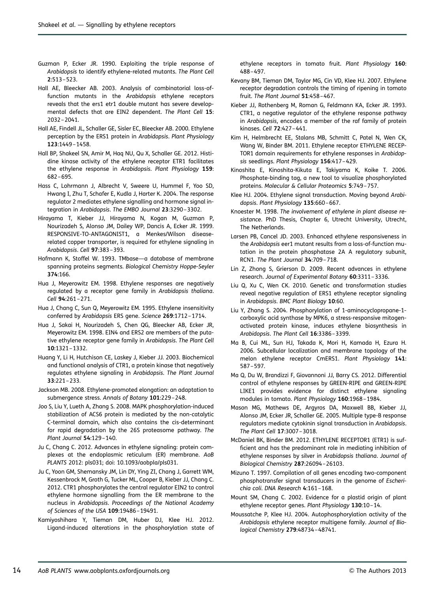- <span id="page-14-0"></span>Guzman P, Ecker JR. 1990. Exploiting the triple response of Arabidopsis to identify ethylene-related mutants. The Plant Cell 2:513 –523.
- Hall AE, Bleecker AB. 2003. Analysis of combinatorial loss-offunction mutants in the Arabidopsis ethylene receptors reveals that the ers1 etr1 double mutant has severe developmental defects that are EIN2 dependent. The Plant Cell 15: 2032 –2041.
- Hall AE, Findell JL, Schaller GE, Sisler EC, Bleecker AB. 2000. Ethylene perception by the ERS1 protein in Arabidopsis. Plant Physiology 123:1449 –1458.
- Hall BP, Shakeel SN, Amir M, Haq NU, Qu X, Schaller GE. 2012. Histidine kinase activity of the ethylene receptor ETR1 facilitates the ethylene response in Arabidopsis. Plant Physiology 159: 682 –695.
- Hass C, Lohrmann J, Albrecht V, Sweere U, Hummel F, Yoo SD, Hwang I, Zhu T, Schafer E, Kudla J, Harter K. 2004. The response regulator 2 mediates ethylene signalling and hormone signal integration in Arabidopsis. The EMBO Journal 23:3290 –3302.
- Hirayama T, Kieber JJ, Hirayama N, Kogan M, Guzman P, Nourizadeh S, Alonso JM, Dailey WP, Dancis A, Ecker JR. 1999. RESPONSIVE-TO-ANTAGONIST1, a Menkes/Wilson diseaserelated copper transporter, is required for ethylene signaling in Arabidopsis. Cell 97:383 –393.
- Hofmann K, Stoffel W. 1993. TMbase—a database of membrane spanning proteins segments. Biological Chemistry Hoppe-Seyler 374:166.
- Hua J, Meyerowitz EM. 1998. Ethylene responses are negatively regulated by a receptor gene family in Arabidopsis thaliana. Cell 94:261-271.
- Hua J, Chang C, Sun Q, Meyerowitz EM. 1995. Ethylene insensitivity conferred by Arabidopsis ERS gene. Science 269:1712 –1714.
- Hua J, Sakai H, Nourizadeh S, Chen QG, Bleecker AB, Ecker JR, Meyerowitz EM. 1998. EIN4 and ERS2 are members of the putative ethylene receptor gene family in Arabidopsis. The Plant Cell 10:1321 –1332.
- Huang Y, Li H, Hutchison CE, Laskey J, Kieber JJ. 2003. Biochemical and functional analysis of CTR1, a protein kinase that negatively regulates ethylene signaling in Arabidopsis. The Plant Journal 33:221 –233.
- Jackson MB. 2008. Ethylene-promoted elongation: an adaptation to submergence stress. Annals of Botany 101:229-248.
- Joo S, Liu Y, Lueth A, Zhang S. 2008. MAPK phosphorylation-induced stabilization of ACS6 protein is mediated by the non-catalytic C-terminal domain, which also contains the cis-determinant for rapid degradation by the 26S proteasome pathway. The Plant Journal 54:129 –140.
- Ju C, Chang C. 2012. Advances in ethylene signaling: protein complexes at the endoplasmic reticulum (ER) membrane. AoB PLANTS 2012: pls031; doi: 10.1093/aobpla/pls031.
- Ju C, Yoon GM, Shemansky JM, Lin DY, Ying ZI, Chang J, Garrett WM, Kessenbrock M, Groth G, Tucker ML, Cooper B, Kieber JJ, Chang C. 2012. CTR1 phosphorylates the central regulator EIN2 to control ethylene hormone signalling from the ER membrane to the nucleus in Arabidopsis. Proceedings of the National Academy of Sciences of the USA 109:19486 –19491.
- Kamiyoshihara Y, Tieman DM, Huber DJ, Klee HJ. 2012. Ligand-induced alterations in the phosphorylation state of

ethylene receptors in tomato fruit. Plant Physiology 160: 488 –497.

- Kevany BM, Tieman DM, Taylor MG, Cin VD, Klee HJ. 2007. Ethylene receptor degradation controls the timing of ripening in tomato fruit. The Plant Journal 51:458-467.
- Kieber JJ, Rothenberg M, Roman G, Feldmann KA, Ecker JR. 1993. CTR1, a negative regulator of the ethylene response pathway in Arabidopsis, encodes a member of the raf family of protein kinases. Cell 72:427 –441.
- Kim H, Helmbrecht EE, Stalans MB, Schmitt C, Patel N, Wen CK, Wang W, Binder BM. 2011. Ethylene receptor ETHYLENE RECEP-TOR1 domain requirements for ethylene responses in Arabidopsis seedlings. Plant Physiology 156:417 –429.
- Kinoshita E, Kinoshita-Kikuta E, Takiyama K, Koike T. 2006. Phosphate-binding tag, a new tool to visualize phosphorylated proteins. Molecular & Cellular Proteomics 5:749 –757.
- Klee HJ. 2004. Ethylene signal transduction. Moving beyond Arabidopsis. Plant Physiology 135:660-667.
- Knoester M. 1998. The involvement of ethylene in plant disease resistance. PhD Thesis, Chapter 6, Utrecht University, Utrecht, The Netherlands.
- Larsen PB, Cancel JD. 2003. Enhanced ethylene responsiveness in the Arabidopsis eer1 mutant results from a loss-of-function mutation in the protein phosphatase 2A A regulatory subunit, RCN1. The Plant Journal 34:709 –718.
- Lin Z, Zhong S, Grierson D. 2009. Recent advances in ethylene research. Journal of Experimental Botany 60:3311 –3336.
- Liu Q, Xu C, Wen CK. 2010. Genetic and transformation studies reveal negative regulation of ERS1 ethylene receptor signaling in Arabidopsis. BMC Plant Biology 10:60.
- Liu Y, Zhang S. 2004. Phosphorylation of 1-aminocyclopropane-1 carboxylic acid synthase by MPK6, a stress-responsive mitogenactivated protein kinase, induces ethylene biosynthesis in Arabidopsis. The Plant Cell 16:3386 –3399.
- Ma B, Cui ML, Sun HJ, Takada K, Mori H, Kamada H, Ezura H. 2006. Subcellular localization and membrane topology of the melon ethylene receptor CmERS1. Plant Physiology 141: 587 –597.
- Ma Q, Du W, Brandizzi F, Giovannoni JJ, Barry CS. 2012. Differential control of ethylene responses by GREEN-RIPE and GREEN-RIPE LIKE1 provides evidence for distinct ethylene signaling modules in tomato. Plant Physiology 160:1968 –1984.
- Mason MG, Mathews DE, Argyros DA, Maxwell BB, Kieber JJ, Alonso JM, Ecker JR, Schaller GE. 2005. Multiple type-B response regulators mediate cytokinin signal transduction in Arabidopsis. The Plant Cell 17:3007 –3018.
- McDaniel BK, Binder BM. 2012. ETHYLENE RECEPTOR1 (ETR1) is sufficient and has the predominant role in mediating inhibition of ethylene responses by silver in Arabidopsis thaliana. Journal of Biological Chemistry 287:26094 –26103.
- Mizuno T. 1997. Compilation of all genes encoding two-component phosphotransfer signal transducers in the genome of Escherichia coli. DNA Research 4:161-168.
- Mount SM, Chang C. 2002. Evidence for a plastid origin of plant ethylene receptor genes. Plant Physiology 130:10-14.
- Moussatche P, Klee HJ. 2004. Autophosphorylation activity of the Arabidopsis ethylene receptor multigene family. Journal of Biological Chemistry 279:48734 –48741.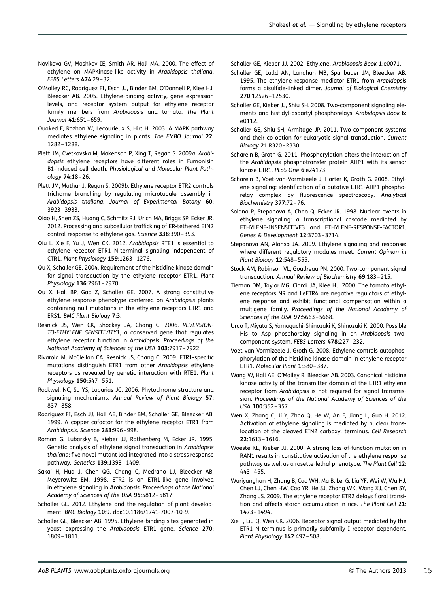- <span id="page-15-0"></span>Novikova GV, Moshkov IE, Smith AR, Hall MA. 2000. The effect of ethylene on MAPKinase-like activity in Arabidopsis thaliana. FEBS Letters 474:29 –32.
- O'Malley RC, Rodriguez FI, Esch JJ, Binder BM, O'Donnell P, Klee HJ, Bleecker AB. 2005. Ethylene-binding activity, gene expression levels, and receptor system output for ethylene receptor family members from Arabidopsis and tomato. The Plant Journal 41:651 –659.
- Ouaked F, Rozhon W, Lecourieux S, Hirt H. 2003. A MAPK pathway mediates ethylene signaling in plants. The EMBO Journal 22: 1282 –1288.
- Plett JM, Cvetkovska M, Makenson P, Xing T, Regan S. 2009a. Arabidopsis ethylene receptors have different roles in Fumonisin B1-induced cell death. Physiological and Molecular Plant Pathology 74:18 –26.
- Plett JM, Mathur J, Regan S. 2009b. Ethylene receptor ETR2 controls trichome branching by regulating microtubule assembly in Arabidopsis thaliana. Journal of Experimental Botany 60: 3923 –3933.
- Qiao H, Shen ZS, Huang C, Schmitz RJ, Urich MA, Briggs SP, Ecker JR. 2012. Processing and subcellular trafficking of ER-tethered EIN2 control response to ethylene gas. Science 338:390 –393.
- Qiu L, Xie F, Yu J, Wen CK. 2012. Arabidopsis RTE1 is essential to ethylene receptor ETR1 N-terminal signaling independent of CTR1. Plant Physiology 159:1263 –1276.
- Qu X, Schaller GE. 2004. Requirement of the histidine kinase domain for signal transduction by the ethylene receptor ETR1. Plant Physiology 136:2961 –2970.
- Qu X, Hall BP, Gao Z, Schaller GE. 2007. A strong constitutive ethylene-response phenotype conferred on Arabidopsis plants containing null mutations in the ethylene receptors ETR1 and ERS1. BMC Plant Biology 7:3.
- Resnick JS, Wen CK, Shockey JA, Chang C. 2006. REVERSION-TO-ETHYLENE SENSITIVITY1, a conserved gene that regulates ethylene receptor function in Arabidopsis. Proceedings of the National Academy of Sciences of the USA 103:7917 –7922.
- Rivarola M, McClellan CA, Resnick JS, Chang C. 2009. ETR1-specific mutations distinguish ETR1 from other Arabidopsis ethylene receptors as revealed by genetic interaction with RTE1. Plant Physiology 150:547 –551.
- Rockwell NC, Su YS, Lagarias JC. 2006. Phytochrome structure and signaling mechanisms. Annual Review of Plant Biology 57: 837 –858.
- Rodriguez FI, Esch JJ, Hall AE, Binder BM, Schaller GE, Bleecker AB. 1999. A copper cofactor for the ethylene receptor ETR1 from Arabidopsis. Science 283:996 –998.
- Roman G, Lubarsky B, Kieber JJ, Rothenberg M, Ecker JR. 1995. Genetic analysis of ethylene signal transduction in Arabidopsis thaliana: five novel mutant loci integrated into a stress response pathway. Genetics 139:1393 –1409.
- Sakai H, Hua J, Chen QG, Chang C, Medrano LJ, Bleecker AB, Meyerowitz EM. 1998. ETR2 is an ETR1-like gene involved in ethylene signaling in Arabidopsis. Proceedings of the National Academy of Sciences of the USA 95:5812-5817.
- Schaller GE. 2012. Ethylene and the regulation of plant development. BMC Biology 10:9. doi:10.1186/1741-7007-10-9.
- Schaller GE, Bleecker AB. 1995. Ethylene-binding sites generated in yeast expressing the Arabidopsis ETR1 gene. Science 270: 1809 –1811.

Schaller GE, Kieber JJ. 2002. Ethylene. Arabidopsis Book 1:e0071.

- Schaller GE, Ladd AN, Lanahan MB, Spanbauer JM, Bleecker AB. 1995. The ethylene response mediator ETR1 from Arabidopsis forms a disulfide-linked dimer. Journal of Biological Chemistry 270:12526 –12530.
- Schaller GE, Kieber JJ, Shiu SH. 2008. Two-component signaling elements and histidyl-aspartyl phosphorelays. Arabidopsis Book 6: e0112.
- Schaller GE, Shiu SH, Armitage JP. 2011. Two-component systems and their co-option for eukaryotic signal transduction. Current Biology 21:R320 –R330.
- Scharein B, Groth G. 2011. Phosphorylation alters the interaction of the Arabidopsis phosphotransfer protein AHP1 with its sensor kinase ETR1. PLoS One 6:e24173.
- Scharein B, Voet-van-Vormizeele J, Harter K, Groth G. 2008. Ethylene signaling: identification of a putative ETR1-AHP1 phosphorelay complex by fluorescence spectroscopy. Analytical Biochemistry 377:72 –76.
- Solano R, Stepanova A, Chao Q, Ecker JR. 1998. Nuclear events in ethylene signaling: a transcriptional cascade mediated by ETHYLENE-INSENSITIVE3 and ETHYLENE-RESPONSE-FACTOR1. Genes & Development 12:3703 –3714.
- Stepanova AN, Alonso JA. 2009. Ethylene signaling and response: where different regulatory modules meet. Current Opinion in Plant Biology 12:548 –555.
- Stock AM, Robinson VL, Goudreau PN. 2000. Two-component signal transduction. Annual Review of Biochemistry 69:183 –215.
- Tieman DM, Taylor MG, Ciardi JA, Klee HJ. 2000. The tomato ethylene receptors NR and LeETR4 are negative regulators of ethylene response and exhibit functional compensation within a multigene family. Proceedings of the National Academy of Sciences of the USA 97:5663 –5668.
- Urao T, Miyata S, Yamaguchi-Shinozaki K, Shinozaki K. 2000. Possible His to Asp phosphorelay signaling in an Arabidopsis twocomponent system. FEBS Letters 478:227 –232.
- Voet-van-Vormizeele J, Groth G. 2008. Ethylene controls autophosphorylation of the histidine kinase domain in ethylene receptor ETR1. Molecular Plant 1:380 –387.
- Wang W, Hall AE, O'Malley R, Bleecker AB. 2003. Canonical histidine kinase activity of the transmitter domain of the ETR1 ethylene receptor from Arabidopsis is not required for signal transmission. Proceedings of the National Academy of Sciences of the USA 100:352 –357.
- Wen X, Zhang C, Ji Y, Zhao Q, He W, An F, Jiang L, Guo H. 2012. Activation of ethylene signaling is mediated by nuclear translocation of the cleaved EIN2 carboxyl terminus. Cell Research 22:1613 –1616.
- Woeste KE, Kieber JJ. 2000. A strong loss-of-function mutation in RAN1 results in constitutive activation of the ethylene response pathway as well as a rosette-lethal phenotype. The Plant Cell 12: 443 –455.
- Wuriyanghan H, Zhang B, Cao WH, Ma B, Lei G, Liu YF, Wei W, Wu HJ, Chen LJ, Chen HW, Cao YR, He SJ, Zhang WK, Wang XJ, Chen SY, Zhang JS. 2009. The ethylene receptor ETR2 delays floral transition and affects starch accumulation in rice. The Plant Cell 21: 1473 –1494.
- Xie F, Liu Q, Wen CK. 2006. Receptor signal output mediated by the ETR1 N terminus is primarily subfamily I receptor dependent. Plant Physiology 142:492-508.